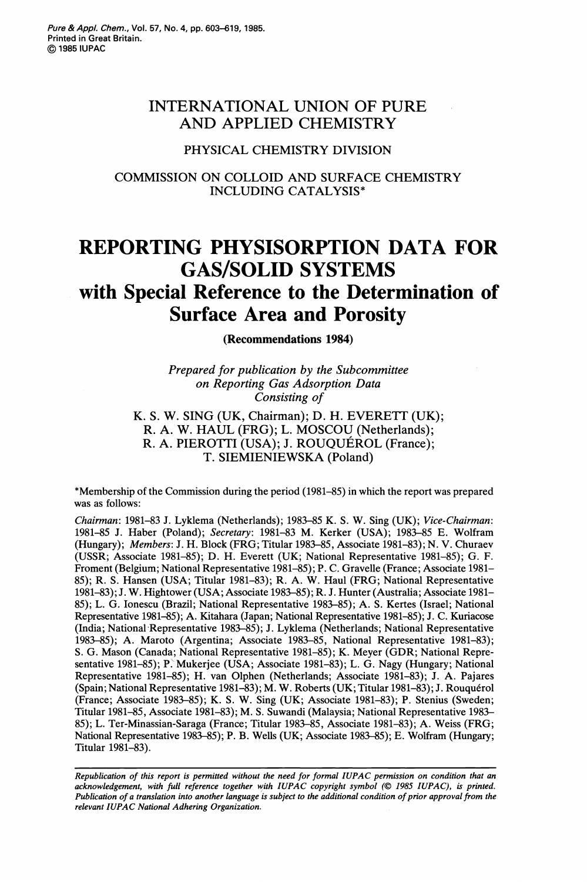## INTERNATIONAL UNION OF PURE AND APPLIED CHEMISTRY

## PHYSICAL CHEMISTRY DIVISION

COMMISSION ON COLLOID AND SURFACE CHEMISTRY INCLUDING CATALYSIS\*

# REPORTING PHYSISORPTION DATA FOR GAS/SOLID SYSTEMS with Special Reference to the Determination of Surface Area and Porosity

(Recommendations 1984)

Prepared for publication by the Subcommittee on Reporting Gas Adsorption Data Consisting of

K. S. W. SING (UK, Chairman); D. H. EVERETT (UK); R. A. W. HAUL (FRG); L. MOSCOU (Netherlands); R. A. PIEROTTI (USA); J. ROUQUEROL (France); T. SIEMIENIEWSKA (Poland)

\*Membership of the Commission during the period (1981—85) in which the report was prepared was as follows:

Chairman: 1981—83 J. Lykiema (Netherlands); 1983—85 K. S. W. Sing (UK); Vice-Chairman: 1981—85 J. Haber (Poland); Secretary: 1981—83 M. Kerker (USA); 1983—85 E. Wolfram (Hungary); Members: J. H. Block (FRG; Titular 1983—85, Associate 1981—83); N. V. Churaev (USSR; Associate 1981—85); D. H. Everett (UK; National Representative 1981—85); G. F. Froment (Belgium; National Representative 1981—85); P. C. Gravelle (France; Associate 1981— 85); R. S. Hansen (USA; Titular 1981—83); R. A. W. Haul (FRG; National Representative 1981—83); J. W. Hightower (USA; Associate 1983—85); R. J. Hunter (Australia; Associate 1981— 85); L. G. lonescu (Brazil; National Representative 1983—85); A. S. Kertes (Israel; National Representative 1981—85); A. Kitahara (Japan; National Representative 1981—85); J. C. Kuriacose (India; National Representative 1983—85); J. Lykiema (Netherlands; National Representative 1983—85); A. Maroto (Argentina; Associate 1983—85, National Representative 1981—83); S. G. Mason (Canada; National Representative 1981—85); K. Meyer (GDR; National Representative 1981–85); P. Mukerjee (USA; Associate 1981–83); L. G. Nagy (Hungary; National Representative 1981—85); H. van Olphen (Netherlands; Associate 1981—83); J. A. Pajares (Spain; National Representative 1981—83); M. W. Roberts (UK; Titular 1981—83); J. Rouquérol (France; Associate 1983—85); K. S. W. Sing (UK; Associate 1981—83); P. Stenius (Sweden; Titular 1981—85, Associate 1981—83); M. S. Suwandi (Malaysia; National Representative 1983— 85); L. Ter-Minassian-Saraga (France; Titular 1983—85, Associate 1981—83); A. Weiss (FRG; National Representative 1983—85); P. B. Wells (UK; Associate 1983—85); E. Wolfram (Hungary; Titular 1981—83).

Republication of this report is permitted without the need for formal JUPAC permission on condition that an acknowledgement, with full reference together with JUPAC copyright symbol (© 1985 JUPAC), is printed. Publication of a translation into another language is subject to the additional condition of prior approval from the relevant JUPAC National Adhering Organization.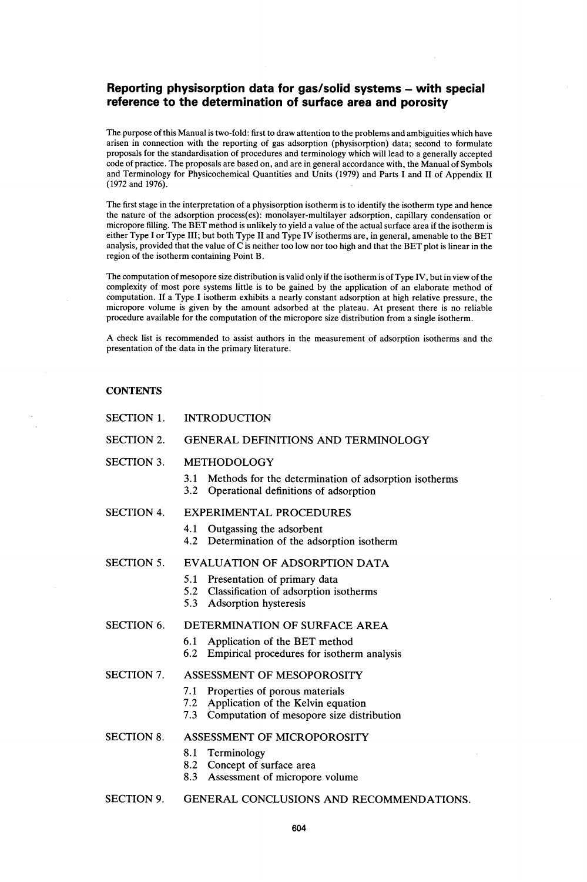# Reporting physisorption data for gas/solid systems — with special reference to the determination of surface area and porosity

The purpose of this Manual is two-fold: first to draw attention to the problems and ambiguities which have arisen in connection with the reporting of gas adsorption (physisorption) data; second to formulate proposals for the standardisation of procedures and terminology which will lead to a generally accepted code of practice. The proposals are based on, and are in general accordance with, the Manual of Symbols and Terminology for Physicochemical Quantities and Units (1979) and Parts I and II of Appendix II (1972 and 1976).

The first stage in the interpretation of a physisorption isotherm is to identify the isotherm type and hence the nature of the adsorption process(es): monolayer-multilayer adsorption, capillary condensation or micropore filling. The BET method is unlikely to yield a value of the actual surface area if the isotherm is either Type I or Type III; but both Type II and Type IV isotherms are, in general, amenable to the BET analysis, provided that the value of C is neither too low nor too high and that the BET plot is linear in the region of the isotherm containing Point B.

The computation of mesopore size distribution is valid only if the isotherm is of Type IV, but in view of the complexity of most pore systems little is to be gained by the application of an elaborate method of computation. If a Type I isotherm exhibits a nearly constant adsorption at high relative pressure, the micropore volume is given by the amount adsorbed at the plateau. At present there is no reliable procedure available for the computation of the micropore size distribution from a single isotherm.

A check list is recommended to assist authors in the measurement of adsorption isotherms and the presentation of the data in the primary literature.

#### **CONTENTS**

#### SECTION 1. INTRODUCTION

- SECTION 2. GENERAL DEFINITIONS AND TERMINOLOGY
- SECTION 3. METHODOLOGY
	- 3.1 Methods for the determination of adsorption isotherms
	- 3.2 Operational definitions of adsorption
- SECTION 4. EXPERIMENTAL PROCEDURES
	- 4.1 Outgassing the adsorbent<br>4.2 Determination of the adsor
	- Determination of the adsorption isotherm

#### SECTION 5. EVALUATION OF ADSORPTION DATA

- 5.1 Presentation of primary data<br>5.2 Classification of adsorption is
- 5.2 Classification of adsorption isotherms<br>5.3 Adsorption hysteresis
- Adsorption hysteresis

## SECTION 6. DETERMINATION OF SURFACE AREA

- 6.1 Application of the BET method
- 6.2 Empirical procedures for isotherm analysis

#### SECTION 7. ASSESSMENT OF MESOPOROSITY

- 7.1 Properties of porous materials
- 7.2 Application of the Kelvin equation<br>7.3 Computation of mesopore size distr
- Computation of mesopore size distribution
- SECTION 8. ASSESSMENT OF MICROPOROSITY
	- 8.1 Terminology<br>8.2 Concent of s
	- Concept of surface area
	- 8.3 Assessment of micropore volume

## SECTION 9. GENERAL CONCLUSIONS AND RECOMMENDATIONS.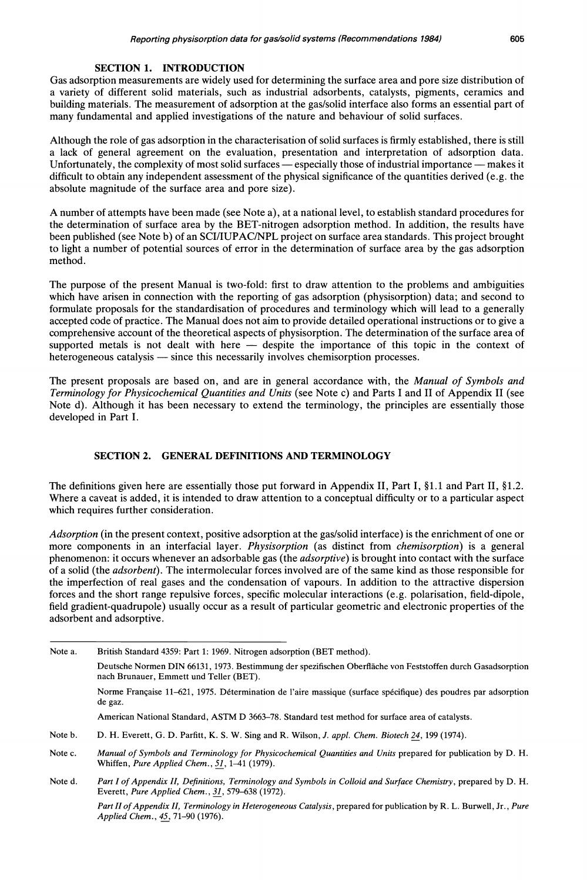#### SECTION 1. INTRODUCTION

Gas adsorption measurements are widely used for determining the surface area and pore size distribution of a variety of different solid materials, such as industrial adsorbents, catalysts, pigments, ceramics and building materials. The measurement of adsorption at the gas/solid interface also forms an essential part of many fundamental and applied investigations of the nature and behaviour of solid surfaces.

Although the role of gas adsorption in the characterisation of solid surfaces is firmly established, there is still a lack of general agreement on the evaluation, presentation and interpretation of adsorption data. Unfortunately, the complexity of most solid surfaces — especially those of industrial importance — makes it difficult to obtain any independent assessment of the physical significance of the quantities derived (e.g. the absolute magnitude of the surface area and pore size).

A number of attempts have been made (see Note a), at a national level, to establish standard procedures for the determination of surface area by the BET-nitrogen adsorption method. In addition, the results have been published (see Note b) of an SCI/JUPACINPL project on surface area standards. This project brought to light a number of potential sources of error in the determination of surface area by the gas adsorption method.

The purpose of the present Manual is two-fold: first to draw attention to the problems and ambiguities which have arisen in connection with the reporting of gas adsorption (physisorption) data; and second to formulate proposals for the standardisation of procedures and terminology which will lead to a generally accepted code of practice . The Manual does not aim to provide detailed operational instructions or to give a comprehensive account of the theoretical aspects of physisorption. The determination of the surface area of supported metals is not dealt with here — despite the importance of this topic in the context of heterogeneous catalysis — since this necessarily involves chemisorption processes.

The present proposals are based on, and are in general accordance with, the Manual of Symbols and Terminology for Physicochemical Quantities and Units (see Note c) and Parts I and II of Appendix II (see Note d). Although it has been necessary to extend the terminology, the principles are essentially those developed in Part I.

## SECTION 2. GENERAL DEFINITIONS AND TERMINOLOGY

The definitions given here are essentially those put forward in Appendix II, Part I, §1.1 and Part II, §1.2. Where a caveat is added, it is intended to draw attention to a conceptual difficulty or to a particular aspect which requires further consideration.

Adsorption (in the present context, positive adsorption at the gas/solid interface) is the enrichment of one or more components in an interfacial layer. Physisorption (as distinct from *chemisorption*) is a general phenomenon: it occurs whenever an adsorbable gas (the *adsorptive*) is brought into contact with the surface of a solid (the *adsorbent*). The intermolecular forces involved are of the same kind as those responsible for the imperfection of real gases and the condensation of vapours. In addition to the attractive dispersion forces and the short range repulsive forces, specific molecular interactions (e.g. polarisation, field-dipole, field gradient-quadrupole) usually occur as a result of particular geometric and electronic properties of the adsorbent and adsorptive.

Note a. British Standard 4359: Part 1: 1969. Nitrogen adsorption (BET method). Deutsche Normen DIN 66131, 1973. Bestimmung der spezifischen Oberfläche von Feststoffen durch Gasadsorption nach Brunauer, Emmett und Teller (BET). Norme Française 11—621, 1975. Determination de l'aire massique (surface specifique) des poudres par adsorption degaz. American National Standard, ASTM D 3663—78. Standard test method for surface area of catalysts. Note b. D. H. Everett, G. D. Parfitt, K. S. W. Sing and R. Wilson, J. appl. Chem. Biotech 24, 199 (1974).

Note c. Manual of Symbols and Terminology for Physicochemical Quantities and Units prepared for publication by D. H. Whiffen, Pure Applied Chem., 51, 1—41 (1979).

Note d. Part I of Appendix II, Definitions, Terminology and Symbols in Colloid and Surface Chemistry, prepared by D. H. Everett, Pure Applied Chem., 31, 579—638 (1972).

Part II of Appendix II, Terminology in Heterogeneous Catalysis, prepared for publication by R. L. Burwell, Jr., Pure Applied Chem., 45, 71—90 (1976).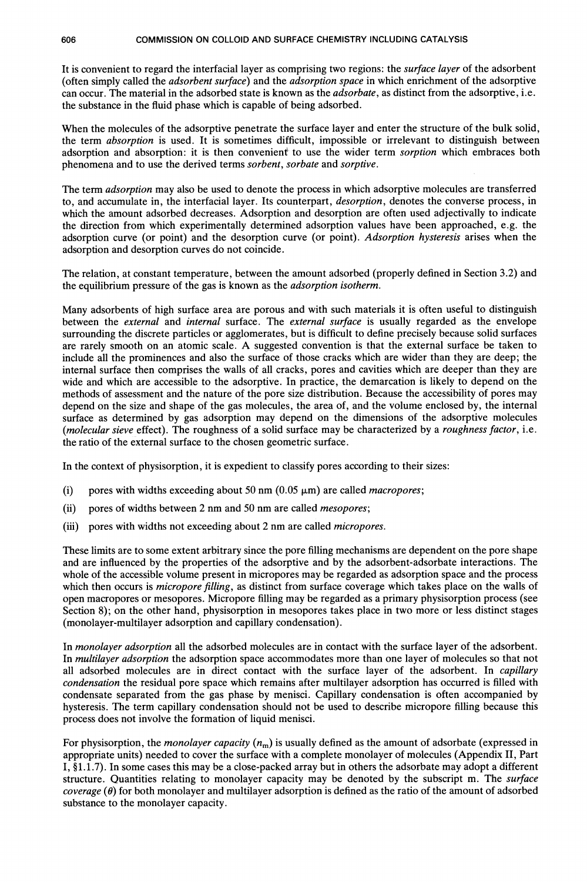It is convenient to regard the interfacial layer as comprising two regions: the surface layer of the adsorbent (often simply called the adsorbent surface) and the adsorption space in which enrichment of the adsorptive can occur. The material in the adsorbed state is known as the adsorbate, as distinct from the adsorptive, i.e. the substance in the fluid phase which is capable of being adsorbed.

When the molecules of the adsorptive penetrate the surface layer and enter the structure of the bulk solid, the term absorption is used. It is sometimes difficult, impossible or irrelevant to distinguish between adsorption and absorption: it is then convenient to use the wider term *sorption* which embraces both phenomena and to use the derived terms sorbent, sorbate and sorptive.

The term *adsorption* may also be used to denote the process in which adsorptive molecules are transferred to, and accumulate in, the interfacial layer. Its counterpart, *desorption*, denotes the converse process, in which the amount adsorbed decreases. Adsorption and desorption are often used adjectivally to indicate the direction from which experimentally determined adsorption values have been approached, e.g. the adsorption curve (or point) and the desorption curve (or point). Adsorption hysteresis arises when the adsorption and desorption curves do not coincide.

The relation, at constant temperature, between the amount adsorbed (properly defined in Section 3.2) and the equilibrium pressure of the gas is known as the adsorption isotherm.

Many adsorbents of high surface area are porous and with such materials it is often useful to distinguish between the external and internal surface. The external surface is usually regarded as the envelope surrounding the discrete particles or agglomerates, but is difficult to define precisely because solid surfaces are rarely smooth on an atomic scale. A suggested convention is that the external surface be taken to include all the prominences and also the surface of those cracks which are wider than they are deep; the internal surface then comprises the walls of all cracks, pores and cavities which are deeper than they are wide and which are accessible to the adsorptive . In practice , the demarcation is likely to depend on the methods of assessment and the nature of the pore size distribution. Because the accessibility of pores may depend on the size and shape of the gas molecules, the area of, and the volume enclosed by, the internal surface as determined by gas adsorption may depend on the dimensions of the adsorptive molecules (molecular sieve effect). The roughness of a solid surface may be characterized by a roughness factor, i.e. the ratio of the external surface to the chosen geometric surface.

In the context of physisorption, it is expedient to classify pores according to their sizes:

- (i) pores with widths exceeding about 50 nm (0.05  $\mu$ m) are called *macropores*;
- (ii) pores of widths between 2 nm and 50 nm are called mesopores;
- (iii) pores with widths not exceeding about 2 nm are called *micropores*.

These limits are to some extent arbitrary since the pore filling mechanisms are dependent on the pore shape and are influenced by the properties of the adsorptive and by the adsorbent-adsorbate interactions. The whole of the accessible volume present in micropores may be regarded as adsorption space and the process which then occurs is micropore filling, as distinct from surface coverage which takes place on the walls of open macropores or mesopores. Micropore filling may be regarded as a primary physisorption process (see Section 8); on the other hand, physisorption in mesopores takes place in two more or less distinct stages (monolayer-multilayer adsorption and capillary condensation).

In *monolayer adsorption* all the adsorbed molecules are in contact with the surface layer of the adsorbent. In multilayer adsorption the adsorption space accommodates more than one layer of molecules so that not all adsorbed molecules are in direct contact with the surface layer of the adsorbent. In *capillary* condensation the residual pore space which remains after multilayer adsorption has occurred is filled with condensate separated from the gas phase by menisci. Capillary condensation is often accompanied by hysteresis. The term capillary condensation should not be used to describe micropore filling because this process does not involve the formation of liquid menisci.

For physisorption, the *monolayer capacity*  $(n_m)$  is usually defined as the amount of adsorbate (expressed in appropriate units) needed to cover the surface with a complete monolayer of molecules (Appendix II, Part I, § 1.1.7). In some cases this may be a close-packed array but in others the adsorbate may adopt a different structure. Quantities relating to monolayer capacity may be denoted by the subscript m. The *surface coverage* ( $\theta$ ) for both monolayer and multilayer adsorption is defined as the ratio of the amount of adsorbed substance to the monolayer capacity.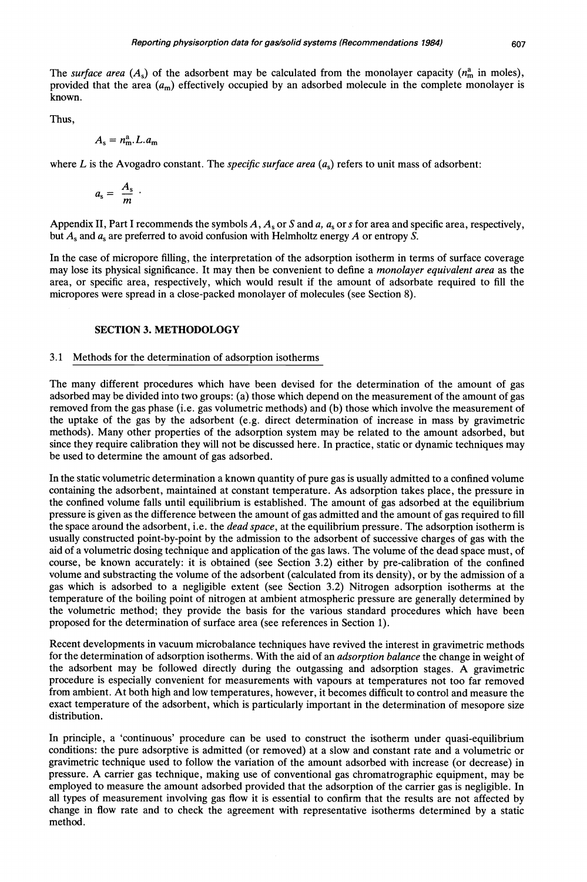The surface area  $(A_s)$  of the adsorbent may be calculated from the monolayer capacity  $(n_m^a)$  in moles), provided that the area  $(a_m)$  effectively occupied by an adsorbed molecule in the complete monolayer is known.

Thus,

$$
A_{\rm s}=n_{\rm m}^{\rm a}.L.a_{\rm m}
$$

where L is the Avogadro constant. The *specific surface area*  $(a<sub>s</sub>)$  refers to unit mass of adsorbent:

$$
a_{\rm s} = \frac{A_{\rm s}}{m} \; .
$$

Appendix II, Part I recommends the symbols A,  $A_s$  or S and a,  $a_s$  or s for area and specific area, respectively, but  $A_s$  and  $a_s$  are preferred to avoid confusion with Helmholtz energy A or entropy S.

In the case of micropore filling, the interpretation of the adsorption isotherm in terms of surface coverage may lose its physical significance. It may then be convenient to define a *monolayer equivalent area* as the area, or specific area, respectively, which would result if the amount of adsorbate required to fill the micropores were spread in a close-packed monolayer of molecules (see Section 8).

## SECTION 3. METHODOLOGY

## 3.1 Methods for the determination of adsorption isotherms

The many different procedures which have been devised for the determination of the amount of gas adsorbed may be divided into two groups: (a) those which depend on the measurement of the amount of gas removed from the gas phase (i.e. gas volumetric methods) and (b) those which involve the measurement of the uptake of the gas by the adsorbent (e.g. direct determination of increase in mass by gravimetric methods). Many other properties of the adsorption system may be related to the amount adsorbed, but since they require calibration they will not be discussed here. In practice, static or dynamic techniques may be used to determine the amount of gas adsorbed.

In the static volumetric determination a known quantity of pure gas is usually admitted to a confined volume containing the adsorbent, maintained at constant temperature. As adsorption takes place, the pressure in the confined volume falls until equilibrium is established. The amount of gas adsorbed at the equilibrium pressure is given as the difference between the amount of gas admitted and the amount of gas required to fill the space around the adsorbent, i.e. the *dead space*, at the equilibrium pressure. The adsorption isotherm is usually constructed point-by-point by the admission to the adsorbent of successive charges of gas with the aid of a volumetric dosing technique and application of the gas laws. The volume of the dead space must, of course, be known accurately: it is obtained (see Section 3.2) either by pre-calibration of the confined volume and substracting the volume of the adsorbent (calculated from its density), or by the admission of a gas which is adsorbed to a negligible extent (see Section 3.2) Nitrogen adsorption isotherms at the temperature of the boiling point of nitrogen at ambient atmospheric pressure are generally determined by the volumetric method; they provide the basis for the various standard procedures which have been proposed for the determination of surface area (see references in Section 1).

Recent developments in vacuum microbalance techniques have revived the interest in gravimetric methods for the determination of adsorption isotherms. With the aid of an *adsorption balance* the change in weight of the adsorbent may be followed directly during the outgassing and adsorption stages. A gravimetric procedure is especially convenient for measurements with vapours at temperatures not too far removed from ambient. At both high and low temperatures, however, it becomes difficult to control and measure the exact temperature of the adsorbent, which is particularly important in the determination of mesopore size distribution.

In principle, a 'continuous' procedure can be used to construct the isotherm under quasi-equilibrium conditions: the pure adsorptive is admitted (or removed) at a slow and constant rate and a volumetric or gravimetric technique used to follow the variation of the amount adsorbed with increase (or decrease) in pressure. A carrier gas technique, making use of conventional gas chromatrographic equipment, may be employed to measure the amount adsorbed provided that the adsorption of the carrier gas is negligible. In all types of measurement involving gas flow it is essential to confirm that the results are not affected by change in flow rate and to check the agreement with representative isotherms determined by a static method.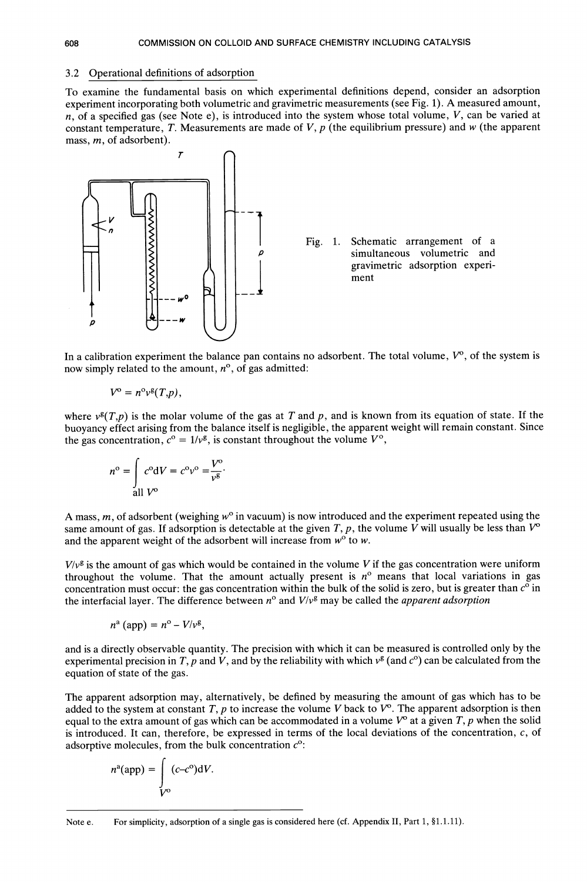#### 3.2 Operational definitions of adsorption

To examine the fundamental basis on which experimental definitions depend, consider an adsorption experiment incorporating both volumetric and gravimetric measurements (see Fig. 1). A measured amount,  $n$ , of a specified gas (see Note e), is introduced into the system whose total volume,  $V$ , can be varied at constant temperature, T. Measurements are made of  $V$ ,  $p$  (the equilibrium pressure) and w (the apparent mass,  $m$ , of adsorbent).



In a calibration experiment the balance pan contains no adsorbent. The total volume,  $V^{\circ}$ , of the system is now simply related to the amount,  $n^{\circ}$ , of gas admitted:

$$
V^{\mathrm{o}}=n^{\mathrm{o}}v^{\mathrm{g}}(T,p),
$$

where  $v^{g}(T,p)$  is the molar volume of the gas at T and p, and is known from its equation of state. If the buoyancy effect arising from the balance itself is negligible, the apparent weight will remain constant. Since the gas concentration,  $c^{\circ} = 1/v^{g}$ , is constant throughout the volume  $V^{\circ}$ ,

$$
n^{\rm o} = \int_{\text{all } V^{\rm o}} c^{\rm o} dV = c^{\rm o} v^{\rm o} = \frac{V^{\rm o}}{v^{\rm g}}.
$$

A mass, m, of adsorbent (weighing  $w^{\circ}$  in vacuum) is now introduced and the experiment repeated using the same amount of gas. If adsorption is detectable at the given T, p, the volume V will usually be less than  $V^{\circ}$ and the apparent weight of the adsorbent will increase from  $w^{\circ}$  to w.

 $V/v^g$  is the amount of gas which would be contained in the volume V if the gas concentration were uniform throughout the volume. That the amount actually present is  $n<sup>o</sup>$  means that local variations in gas concentration must occur: the gas concentration within the bulk of the solid is zero, but is greater than  $c^{\circ}$  in the interfacial layer. The difference between  $n^{\circ}$  and  $V/v^{\rm g}$  may be called the *apparent adsorption* 

$$
n^{\rm a} \left( \text{app} \right) = n^{\rm o} - V/v^{\rm g},
$$

and is a directly observable quantity. The precision with which it can be measured is controlled only by the experimental precision in T, p and V, and by the reliability with which  $v^g$  (and  $c^o$ ) can be calculated from the equation of state of the gas.

The apparent adsorption may, alternatively, be defined by measuring the amount of gas which has to be added to the system at constant T, p to increase the volume V back to  $V^{\circ}$ . The apparent adsorption is then equal to the extra amount of gas which can be accommodated in a volume  $V^{\circ}$  at a given T, p when the solid is introduced. It can, therefore, be expressed in terms of the local deviations of the concentration,  $c$ , of adsorptive molecules, from the bulk concentration  $c^{\circ}$ :

$$
n^{a}(\text{app}) = \int_{V^{\circ}} (c - c^{\circ}) dV.
$$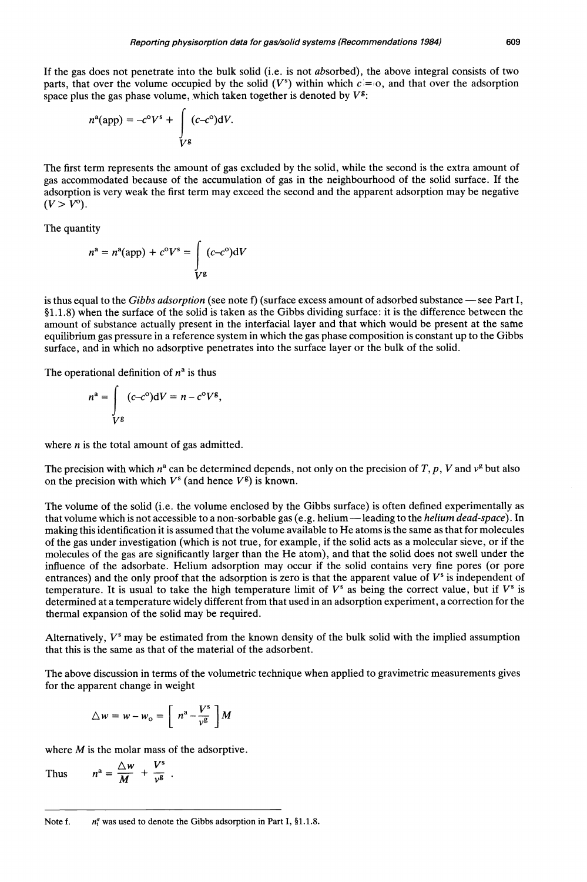$$
n^{a}(\text{app}) = -c^{o}V^{s} + \int_{V^{g}} (c - c^{o})dV.
$$

The first term represents the amount of gas excluded by the solid, while the second is the extra amount of gas accommodated because of the accumulation of gas in the neighbourhood of the solid surface. If the adsorption is very weak the first term may exceed the second and the apparent adsorption may be negative  $(V>V^{\circ}).$ 

The quantity

$$
n^{a} = n^{a}(\text{app}) + c^{o}V^{s} = \int_{V^{g}} (c - c^{o})dV
$$

is thus equal to the Gibbs adsorption (see note f) (surface excess amount of adsorbed substance — see Part I, §1.1.8) when the surface of the solid is taken as the Gibbs dividing surface: it is the difference between the amount of substance actually present in the interfacial layer and that which would be present at the same equilibrium gas pressure in a reference system in which the gas phase composition is constant up to the Gibbs surface, and in which no adsorptive penetrates into the surface layer or the bulk of the solid.

The operational definition of  $n<sup>a</sup>$  is thus

$$
n^{a} = \int_{V^{g}} (c - c^{o}) dV = n - c^{o} V^{g},
$$

where  $n$  is the total amount of gas admitted.

The precision with which  $n^a$  can be determined depends, not only on the precision of T, p, V and  $v^g$  but also on the precision with which  $V^s$  (and hence  $V^g$ ) is known.

The volume of the solid (i.e. the volume enclosed by the Gibbs surface) is often defined experimentally as that volume which is not accessible to a non-sorbable gas (e.g. helium — leading to the *helium dead-space*). In making this identification it is assumed that the volume available to He atoms is the same as that for molecules of the gas under investigation (which is not true, for example, if the solid acts as a molecular sieve, or if the molecules of the gas are significantly larger than the He atom), and that the solid does not swell under the influence of the adsorbate. Helium adsorption may occur if the solid contains very fine pores (or pore entrances) and the only proof that the adsorption is zero is that the apparent value of  $V^s$  is independent of temperature. It is usual to take the high temperature limit of  $V^s$  as being the correct value, but if  $V^s$  is determined at a temperature widely different from that used in an adsorption experiment, a correction for the thermal expansion of the solid may be required.

Alternatively,  $V^s$  may be estimated from the known density of the bulk solid with the implied assumption that this is the same as that of the material of the adsorbent.

The above discussion in terms of the volumetric technique when applied to gravimetric measurements gives for the apparent change in weight

$$
\triangle w = w - w_{\rm o} = \left[ n^{\rm a} - \frac{V^{\rm s}}{v^{\rm g}} \right] M
$$

where  $M$  is the molar mass of the adsorptive.

 $\Delta w$   $V^s$ Thus  $n^a = \frac{\Delta W}{M} + \frac{1}{V^g}$ .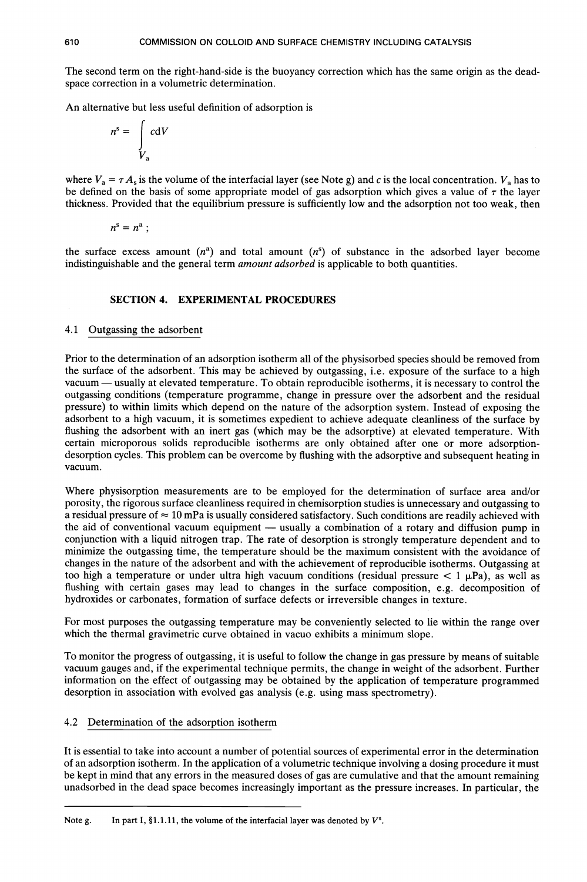The second term on the right-hand-side is the buoyancy correction which has the same origin as the deadspace correction in a volumetric determination.

An alternative but less useful definition of adsorption is

$$
n^{\rm s} = \int\limits_{V_{\rm a}} c \mathrm{d}V
$$

where  $V_a = \tau A_s$  is the volume of the interfacial layer (see Note g) and c is the local concentration.  $V_a$  has to be defined on the basis of some appropriate model of gas adsorption which gives a value of  $\tau$  the layer thickness. Provided that the equilibrium pressure is sufficiently low and the adsorption not too weak, then

$$
n^{\rm s}=n^{\rm a}~;~~
$$

the surface excess amount  $(n^a)$  and total amount  $(n^s)$  of substance in the adsorbed layer become indistinguishable and the general term amount adsorbed is applicable to both quantities.

## SECTION 4. EXPERIMENTAL PROCEDURES

#### 4.1 Outgassing the adsorbent

Prior to the determination of an adsorption isotherm all of the physisorbed species should be removed from the surface of the adsorbent. This may be achieved by outgassing, i.e. exposure of the surface to a high vacuum — usually at elevated temperature . To obtain reproducible isotherms , it is necessary to control the outgassing conditions (temperature programme, change in pressure over the adsorbent and the residual pressure) to within limits which depend on the nature of the adsorption system. Instead of exposing the adsorbent to a high vacuum, it is sometimes expedient to achieve adequate cleanliness of the surface by flushing the adsorbent with an inert gas (which may be the adsorptive) at elevated temperature. With certain microporous solids reproducible isotherms are only obtained after one or more adsorptiondesorption cycles. This problem can be overcome by flushing with the adsorptive and subsequent heating in vacuum.

Where physisorption measurements are to be employed for the determination of surface area and/or porosity, the rigorous surface cleanliness required in chemisorption studies is unnecessary and outgassing to a residual pressure of  $\approx 10$  mPa is usually considered satisfactory. Such conditions are readily achieved with the aid of conventional vacuum equipment — usually a combination of a rotary and diffusion pump in conjunction with a liquid nitrogen trap. The rate of desorption is strongly temperature dependent and to minimize the outgassing time, the temperature should be the maximum consistent with the avoidance of changes in the nature of the adsorbent and with the achievement of reproducible isotherms. Outgassing at too high a temperature or under ultra high vacuum conditions (residual pressure  $\lt 1$   $\mu$ Pa), as well as flushing with certain gases may lead to changes in the surface composition, e.g. decomposition of hydroxides or carbonates, formation of surface defects or irreversible changes in texture.

For most purposes the outgassing temperature may be conveniently selected to lie within the range over which the thermal gravimetric curve obtained in vacuo exhibits a minimum slope.

To monitor the progress of outgassing, it is useful to follow the change in gas pressure by means of suitable vacuum gauges and, if the experimental technique permits, the change in weight of the adsorbent. Further information on the effect of outgassing may be obtained by the application of temperature programmed desorption in association with evolved gas analysis (e.g. using mass spectrometry).

## 4.2 Determination of the adsorption isotherm

It is essential to take into account a number of potential sources of experimental error in the determination of an adsorption isotherm. In the application of a volumetric technique involving a dosing procedure it must be kept in mind that any errors in the measured doses of gas are cumulative and that the amount remaining unadsorbed in the dead space becomes increasingly important as the pressure increases. In particular, the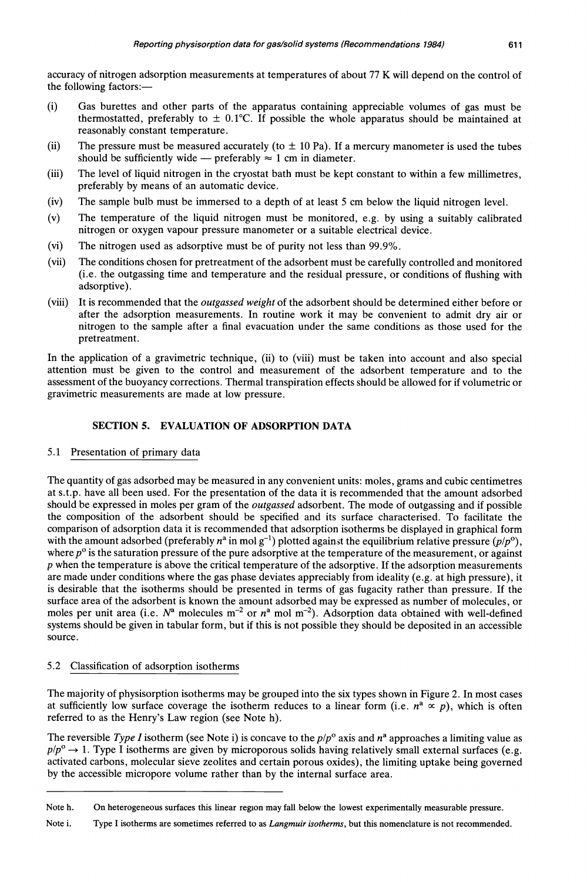accuracy of nitrogen adsorption measurements at temperatures of about 77 K will depend on the control of the following factors:—

- (i) Gas burettes and other parts of the apparatus containing appreciable volumes of gas must be thermostatted, preferably to  $\pm$  0.1°C. If possible the whole apparatus should be maintained at reasonably constant temperature.
- (ii) The pressure must be measured accurately (to  $\pm$  10 Pa). If a mercury manometer is used the tubes should be sufficiently wide — preferably  $\approx 1$  cm in diameter.
- (iii) The level of liquid nitrogen in the cryostat bath must be kept constant to within a few millimetres, preferably by means of an automatic device.
- (iv) The sample bulb must be immersed to a depth of at least 5 cm below the liquid nitrogen level.
- (v) The temperature of the liquid nitrogen must be monitored, e.g. by using a suitably calibrated nitrogen or oxygen vapour pressure manometer or a suitable electrical device.
- (vi) The nitrogen used as adsorptive must be of purity not less than 99.9%.
- (vii) The conditions chosen for pretreatment of the adsorbent must be carefully controlled and monitored (i. e .the outgassing time and temperature and the residual pressure , or conditions of flushing with adsorptive).
- (viii) It is recommended that the outgassed weight of the adsorbent should be determined either before or after the adsorption measurements. In routine work it may be convenient to admit dry air or nitrogen to the sample after a final evacuation under the same conditions as those used for the pretreatment.

In the application of a gravimetric technique, (ii) to (viii) must be taken into account and also special attention must be given to the control and measurement of the adsorbent temperature and to the assessment of the buoyancy corrections. Thermal transpiration effects should be allowed for if volumetric or gravimetric measurements are made at low pressure.

## SECTION 5. EVALUATION OF ADSORPTION DATA

5.1 Presentation of primary data

The quantity of gas adsorbed may be measured in any convenient units: moles, grams and cubic centimetres at s.t.p. have all been used. For the presentation of the data it is recommended that the amount adsorbed should be expressed in moles per gram of the *outgassed* adsorbent. The mode of outgassing and if possible the composition of the adsorbent should be specified and its surface characterised. To facilitate the comparison of adsorption data it is recommended that adsorption isotherms be displayed in graphical form with the amount adsorbed (preferably  $n^a$  in mol  $g^{-1}$ ) plotted against the equilibrium relative pressure  $(p/p^o)$ , where  $p<sup>o</sup>$  is the saturation pressure of the pure adsorptive at the temperature of the measurement, or against  $p$  when the temperature is above the critical temperature of the adsorptive. If the adsorption measurements are made under conditions where the gas phase deviates appreciably from ideality (e.g. at high pressure), it is desirable that the isotherms should be presented in terms of gas fugacity rather than pressure. If the surface area of the adsorbent is known the amount adsorbed may be expressed as number of molecules, or moles per unit area (i.e.  $N^a$  molecules m<sup>-2</sup> or  $n^a$  mol m<sup>-2</sup>). Adsorption data obtained with well-defined systems should be given in tabular form, but if this is not possible they should be deposited in an accessible source.

## 5.2 Classification of adsorption isotherms

The majority of physisorption isotherms may be grouped into the six types shown in Figure 2. In most cases at sufficiently low surface coverage the isotherm reduces to a linear form (i.e.  $n^a \propto p$ ), which is often referred to as the Henry's Law region (see Note h).

The reversible Type I isotherm (see Note i) is concave to the  $p/p^{\circ}$  axis and  $n^{\circ}$  approaches a limiting value as  $p/p^{\circ} \rightarrow 1$ . Type I isotherms are given by microporous solids having relatively small external surfaces (e.g. activated carbons, molecular sieve zeolites and certain porous oxides), the limiting uptake being governed by the accessible micropore volume rather than by the internal surface area.

Note h. On heterogeneous surfaces this linear region may fall belowthe lowest experimentally measurable pressure.

Note i. Type I isotherms are sometimes referred to as *Langmuir isotherms*, but this nomenclature is not recommended.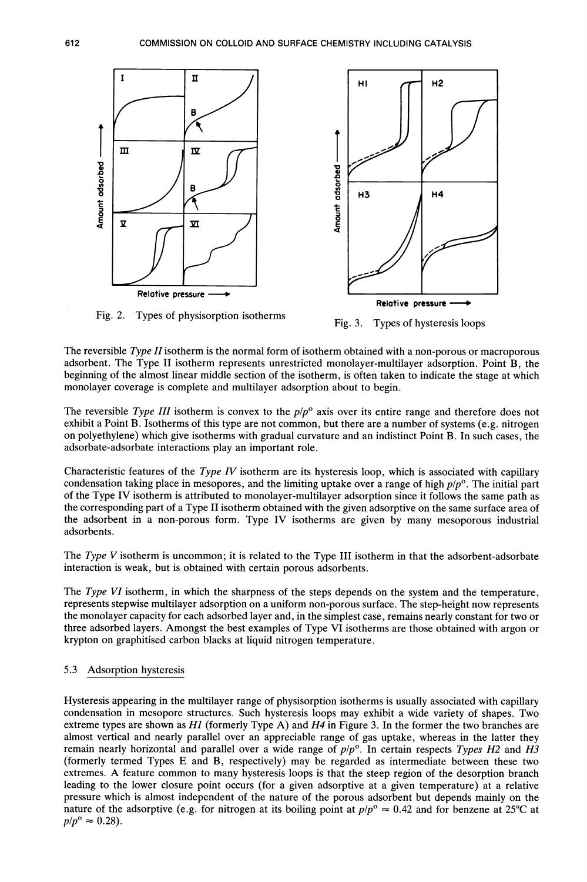

Fig. 2. Types of physisorption isotherms

Fig. 3. Types of hysteresis ioops

The reversible Type II isotherm is the normal form of isotherm obtained with a non-porous or macroporous adsorbent. The Type II isotherm represents unrestricted monolayer-multilayer adsorption. Point B , the beginning of the almost linear middle section of the isotherm, is often taken to indicate the stage at which monolayer coverage is complete and multilayer adsorption about to begin.

The reversible Type III isotherm is convex to the  $p/p^{\circ}$  axis over its entire range and therefore does not exhibit a Point B. Isotherms of this type are not common, but there are a number of systems (e.g. nitrogen on polyethylene) which give isotherms with gradual curvature and an indistinct Point B .In such cases , the adsorbate-adsorbate interactions play an important role.

Characteristic features of the Type IV isotherm are its hysteresis loop, which is associated with capillary condensation taking place in mesopores, and the limiting uptake over a range of high  $p/p^{\circ}$ . The initial part of the Type IV isotherm is attributed to monolayer-multilayer adsorption since it follows the same path as the corresponding part of a Type II isotherm obtained with the given adsorptive on the same surface area of the adsorbent in a non-porous form. Type IV isotherms are given by many mesoporous industrial adsorbents.

The Type V isotherm is uncommon; it is related to the Type III isotherm in that the adsorbent-adsorbate interaction is weak, but is obtained with certain porous adsorbents.

The Type VI isotherm, in which the sharpness of the steps depends on the system and the temperature, represents stepwise multilayer adsorption on a uniform non-porous surface. The step-height now represents the monolayer capacity for each adsorbed layer and, in the simplest case, remains nearly constant for two or three adsorbed layers. Amongst the best examples of Type VI isotherms are those obtained with argon or krypton on graphitised carbon blacks at liquid nitrogen temperature.

#### 5.3 Adsorption hysteresis

Hysteresis appearing in the multilayer range of physisorption isotherms is usually associated with capillary condensation in mesopore structures. Such hysteresis loops may exhibit a wide variety of shapes. Two extreme types are shown as  $H1$  (formerly Type A) and  $H4$  in Figure 3. In the former the two branches are almost vertical and nearly parallel over an appreciable range of gas uptake, whereas in the latter they remain nearly horizontal and parallel over a wide range of  $p/p^{\circ}$ . In certain respects Types H2 and H3 (formerly termed Types E and B, respectively) may be regarded as intermediate between these two extremes. A feature common to many hysteresis loops is that the steep region of the desorption branch leading to the lower closure point occurs (for a given adsorptive at a given temperature) at a relative pressure which is almost independent of the nature of the porous adsorbent but depends mainly on the nature of the adsorptive (e.g. for nitrogen at its boiling point at  $p/p^{\circ} \approx 0.42$  and for benzene at 25°C at  $p/p^{\circ} \approx 0.28$ ).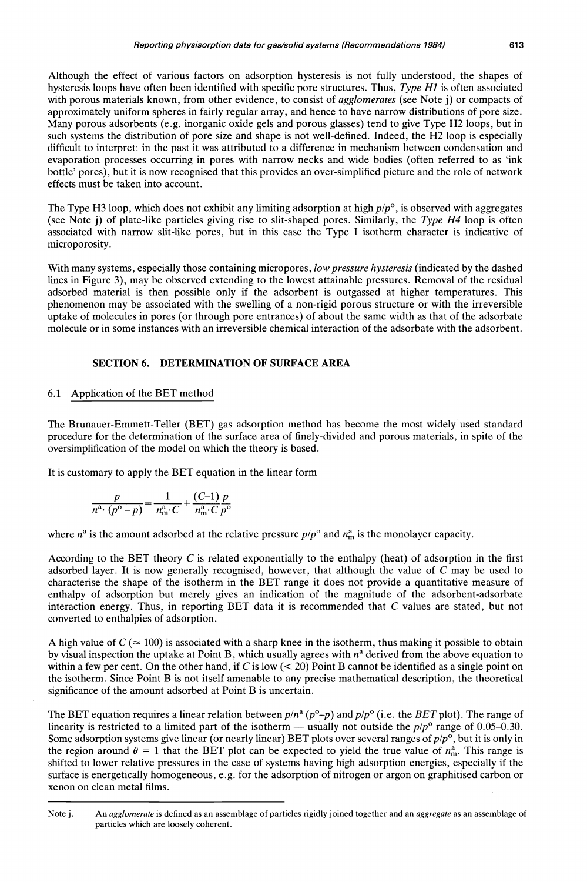Although the effect of various factors on adsorption hysteresis is not fully understood, the shapes of hysteresis loops have often been identified with specific pore structures. Thus, Type H1 is often associated with porous materials known, from other evidence, to consist of *agglomerates* (see Note j) or compacts of approximately uniform spheres in fairly regular array, and hence to have narrow distributions of pore size. Many porous adsorbents (e.g. inorganic oxide gels and porous glasses) tend to give Type H2 loops, but in such systems the distribution of pore size and shape is not well-defined. Indeed, the H2 loop is especially difficult to interpret: in the past it was attributed to a difference in mechanism between condensation and evaporation processes occurring in pores with narrow necks and wide bodies (often referred to as 'ink bottle' pores), but it is now recognised that this provides an over-simplified picture and the role of network effects must be taken into account.

The Type H3 loop, which does not exhibit any limiting adsorption at high  $p/p^{\circ}$ , is observed with aggregates (see Note j) of plate-like particles giving rise to slit-shaped pores. Similarly, the Type H4 loop is often associated with narrow slit-like pores, but in this case the Type I isotherm character is indicative of microporosity.

With many systems, especially those containing micropores, low pressure hysteresis (indicated by the dashed lines in Figure 3), may be observed extending to the lowest attainable pressures . Removal of the residual adsorbed material is then possible only if the adsorbent is outgassed at higher temperatures. This phenomenon may be associated with the swelling of a non-rigid porous structure or with the irreversible uptake of molecules in pores (or through pore entrances) of about the same width as that of the adsorbate molecule or in some instances with an irreversible chemical interaction of the adsorbate with the adsorbent.

## SECTION 6. DETERMINATION OF SURFACE AREA

## 6.1 Application of the BET method

The Brunauer-Emmett-Teller (BET) gas adsorption method has become the most widely used standard procedure for the determination of the surface area of finely-divided and porous materials, in spite of the oversimplification of the model on which the theory is based.

It is customary to apply the BET equation in the linear form

$$
\frac{p}{n^{\mathbf{a}} \cdot (p^{\mathbf{o}} - p)} = \frac{1}{n_{\mathbf{m}}^{\mathbf{a}} \cdot C} + \frac{(C-1) p}{n_{\mathbf{m}}^{\mathbf{a}} \cdot C p^{\mathbf{o}}}
$$

where  $n^a$  is the amount adsorbed at the relative pressure  $p/p^o$  and  $n_m^a$  is the monolayer capacity.

According to the BET theory  $C$  is related exponentially to the enthalpy (heat) of adsorption in the first adsorbed layer. It is now generally recognised, however, that although the value of C may be used to characterise the shape of the isotherm in the BET range it does not provide a quantitative measure of enthalpy of adsorption but merely gives an indication of the magnitude of the adsorbent-adsorbate interaction energy. Thus, in reporting BET data it is recommended that C values are stated, but not converted to enthalpies of adsorption.

A high value of  $C \approx 100$ ) is associated with a sharp knee in the isotherm, thus making it possible to obtain by visual inspection the uptake at Point B, which usually agrees with  $n<sup>a</sup>$  derived from the above equation to within a few per cent. On the other hand, if C is low  $(< 20$ ) Point B cannot be identified as a single point on the isotherm. Since Point B is not itself amenable to any precise mathematical description, the theoretical significance of the amount adsorbed at Point B is uncertain.

The BET equation requires a linear relation between  $p/n^a (p^o-p)$  and  $p/p^o$  (i.e. the BET plot). The range of linearity is restricted to a limited part of the isotherm — usually not outside the  $p/p^{\circ}$  range of 0.05–0.30. Some adsorption systems give linear (or nearly linear) BET plots over several ranges of  $p/p^{\circ}$ , but it is only in the region around  $\theta = 1$  that the BET plot can be expected to yield the true value of  $n_m^{\text{a}}$ . This range is shifted to lower relative pressures in the case of systems having high adsorption energies, especially if the surface is energetically homogeneous, e.g. for the adsorption of nitrogen or argon on graphitised carbon or xenon on clean metal films.

Note j. An agglomerate is defined as an assemblage of particles rigidly joined together and an aggregate as an assemblage of particles which are loosely coherent.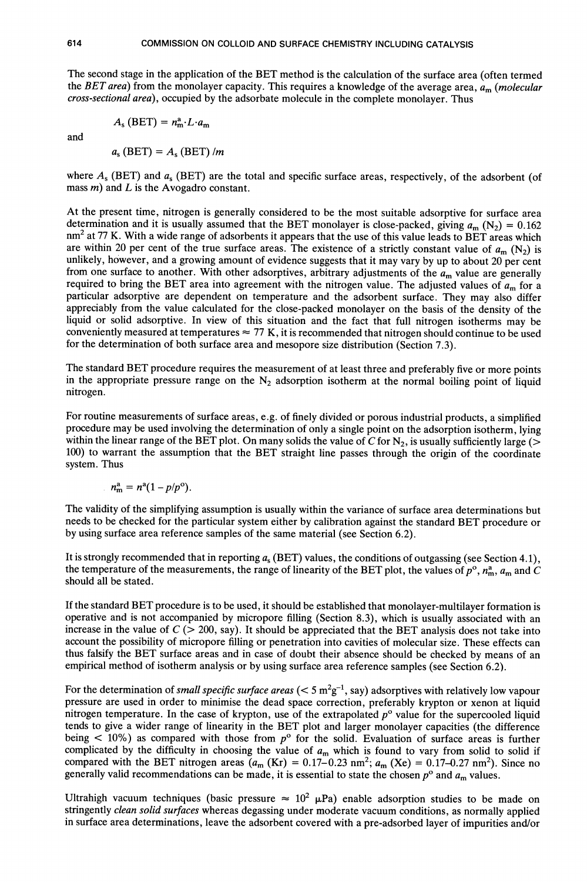The second stage in the application of the BET method is the calculation of the surface area (often termed the BET area) from the monolayer capacity. This requires a knowledge of the average area,  $a_m$  (molecular cross-sectional area), occupied by the adsorbate molecule in the complete monolayer. Thus

$$
A_{\rm s} \, (\text{BET}) = n_{\rm m}^{\rm a} \cdot L \cdot a_{\rm m}
$$

and

 $a<sub>s</sub>$  (BET) = A<sub>s</sub> (BET) /m

where  $A_s$  (BET) and  $a_s$  (BET) are the total and specific surface areas, respectively, of the adsorbent (of mass  $m$ ) and  $L$  is the Avogadro constant.

At the present time, nitrogen is generally considered to be the most suitable adsorptive for surface area determination and it is usually assumed that the BET monolayer is close-packed, giving  $a_{\rm m}$  (N<sub>2</sub>) = 0.162  $nm<sup>2</sup>$  at 77 K. With a wide range of adsorbents it appears that the use of this value leads to BET areas which are within 20 per cent of the true surface areas. The existence of a strictly constant value of  $a_m$  (N<sub>2</sub>) is unlikely, however, and a growing amount of evidence suggests that it may vary by up to about 20 per cent from one surface to another. With other adsorptives, arbitrary adjustments of the  $a<sub>m</sub>$  value are generally required to bring the BET area into agreement with the nitrogen value. The adjusted values of  $a_m$  for a particular adsorptive are dependent on temperature and the adsorbent surface. They may also differ appreciably from the value calculated for the close-packed monolayer on the basis of the density of the liquid or solid adsorptive. In view of this situation and the fact that full nitrogen isotherms may be conveniently measured at temperatures  $\approx$  77 K, it is recommended that nitrogen should continue to be used for the determination of both surface area and mesopore size distribution (Section 7.3).

The standard BET procedure requires the measurement of at least three and preferably five or more points in the appropriate pressure range on the  $N_2$  adsorption isotherm at the normal boiling point of liquid nitrogen.

For routine measurements of surface areas, e.g. of finely divided or porous industrial products, a simplified procedure may be used involving the determination of only a single point on the adsorption isotherm, lying within the linear range of the BET plot. On many solids the value of C for  $N_2$ , is usually sufficiently large (> 100) to warrant the assumption that the BET straight line passes through the origin of the coordinate system. Thus

$$
n_{\rm m}^{\rm a}=n^{\rm a}(1-p/p^{\rm o}).
$$

The validity of the simplifying assumption is usually within the variance of surface area determinations but needs to be checked for the particular system either by calibration against the standard BET procedure or by using surface area reference samples of the same material (see Section 6.2).

It is strongly recommended that in reporting  $a_s$  (BET) values, the conditions of outgassing (see Section 4.1), the temperature of the measurements, the range of linearity of the BET plot, the values of  $p^{\circ}$ ,  $n_{\rm m}^{\rm a}$ ,  $a_{\rm m}$  and C should all be stated.

If the standard BET procedure is to be used, it should be established that monolayer-multilayer formation is operative and is not accompanied by micropore filling (Section 8.3), which is usually associated with an increase in the value of  $C$  ( $> 200$ , say). It should be appreciated that the BET analysis does not take into account the possibility of micropore filling or penetration into cavities of molecular size. These effects can thus falsify the BET surface areas and in case of doubt their absence should be checked by means of an empirical method of isotherm analysis or by using surface area reference samples (see Section 6.2).

For the determination of *small specific surface areas* ( $\leq 5 \text{ m}^2 \text{g}^{-1}$ , say) adsorptives with relatively low vapour pressure are used in order to minimise the dead space correction, preferably krypton or xenon at liquid nitrogen temperature. In the case of krypton, use of the extrapolated  $p^{\circ}$  value for the supercooled liquid tends to give a wider range of linearity in the BET plot and larger monolayer capacities (the difference being  $\lt$  10%) as compared with those from  $p^{\circ}$  for the solid. Evaluation of surface areas is further complicated by the difficulty in choosing the value of  $a<sub>m</sub>$  which is found to vary from solid to solid if compared with the BET nitrogen areas  $(a_m$  (Kr) = 0.17–0.23 nm<sup>2</sup>;  $a_m$  (Xe) = 0.17–0.27 nm<sup>2</sup>). Since no generally valid recommendations can be made, it is essential to state the chosen  $p^{\circ}$  and  $a_{\rm m}$  values.

Ultrahigh vacuum techniques (basic pressure  $\approx 10^2 \mu Pa$ ) enable adsorption studies to be made on stringently *clean solid surfaces* whereas degassing under moderate vacuum conditions, as normally applied in surface area determinations, leave the adsorbent covered with a pre-adsorbed layer of impurities and/or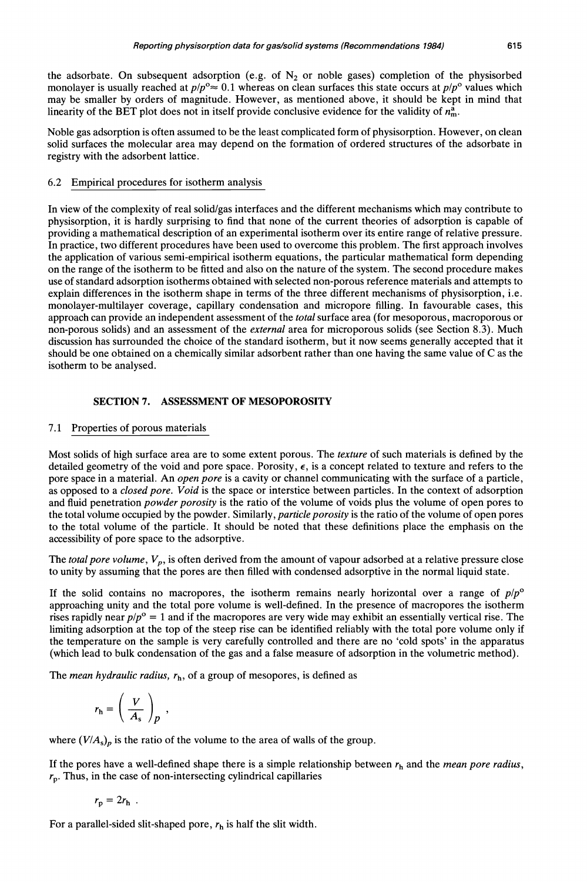the adsorbate. On subsequent adsorption (e.g. of  $N_2$  or noble gases) completion of the physisorbed monolayer is usually reached at  $p/p^{\circ} \approx 0.1$  whereas on clean surfaces this state occurs at  $p/p^{\circ}$  values which may be smaller by orders of magnitude. However, as mentioned above, it should be kept in mind that linearity of the BET plot does not in itself provide conclusive evidence for the validity of  $n_m^2$ .

Noble gas adsorption is often assumed to be the least complicated form of physisorption. However, on clean solid surfaces the molecular area may depend on the formation of ordered structures of the adsorbate in registry with the adsorbent lattice.

## 6.2 Empirical procedures for isotherm analysis

In view of the complexity of real solid/gas interfaces and the different mechanisms which may contribute to physisorption, it is hardly surprising to find that none of the current theories of adsorption is capable of providing a mathematical description of an experimental isotherm over its entire range of relative pressure. In practice, two different procedures have been used to overcome this problem. The first approach involves the application of various semi-empirical isotherm equations, the particular mathematical form depending on the range of the isotherm to be fitted and also on the nature of the system. The second procedure makes use of standard adsorption isotherms obtained with selected non-porous reference materials and attempts to explain differences in the isotherm shape in terms of the three different mechanisms of physisorption, i.e. monolayer-multilayer coverage, capillary condensation and micropore filling. In favourable cases, this approach can provide an independent assessment of the *total* surface area (for mesoporous, macroporous or non-porous solids) and an assessment of the *external* area for microporous solids (see Section 8.3). Much discussion has surrounded the choice of the standard isotherm, but it now seems generally accepted that it should be one obtained on a chemically similar adsorbent rather than one having the same value of C as the isotherm to be analysed.

## SECTION 7. ASSESSMENT OF MESOPOROSITY

#### 7.1 Properties of porous materials

Most solids of high surface area are to some extent porous. The texture of such materials is defined by the detailed geometry of the void and pore space. Porosity,  $\epsilon$ , is a concept related to texture and refers to the pore space in a material. An open pore is a cavity or channel communicating with the surface of a particle, as opposed to a closed pore. Void is the space or interstice between particles. In the context of adsorption and fluid penetration powder porosity is the ratio of the volume of voids plus the volume of open pores to the total volume occupied by the powder. Similarly, *particle porosity* is the ratio of the volume of open pores to the total volume of the particle. It should be noted that these definitions place the emphasis on the accessibility of pore space to the adsorptive.

The total pore volume,  $V_p$ , is often derived from the amount of vapour adsorbed at a relative pressure close to unity by assuming that the pores are then filled with condensed adsorptive in the normal liquid state.

If the solid contains no macropores, the isotherm remains nearly horizontal over a range of  $p/p^{\circ}$ approaching unity and the total pore volume is well-defined. In the presence of macropores the isotherm rises rapidly near  $p/p^{\circ} = 1$  and if the macropores are very wide may exhibit an essentially vertical rise. The limiting adsorption at the top of the steep rise can be identified reliably with the total pore volume only if the temperature on the sample is very carefully controlled and there are no 'cold spots' in the apparatus (which lead to bulk condensation of the gas and a false measure of adsorption in the volumetric method).

The *mean hydraulic radius*,  $r<sub>h</sub>$ , of a group of mesopores, is defined as

$$
r_{\rm h} = \left(\frac{V}{A_{\rm s}}\right)_p,
$$

where  $(V/A_s)_p$  is the ratio of the volume to the area of walls of the group.

If the pores have a well-defined shape there is a simple relationship between  $r<sub>h</sub>$  and the *mean pore radius*,  $r_{\rm p}$ . Thus, in the case of non-intersecting cylindrical capillaries

$$
r_{\rm p}=2r_{\rm h}.
$$

For a parallel-sided slit-shaped pore,  $r<sub>h</sub>$  is half the slit width.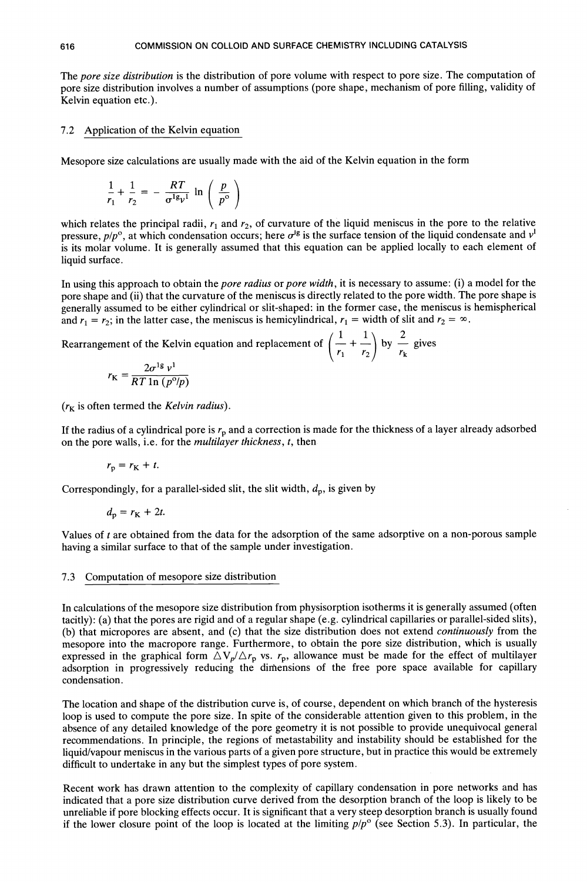The pore size distribution is the distribution of pore volume with respect to pore size. The computation of pore size distribution involves a number of assumptions (pore shape, mechanism of pore filling, validity of Kelvin equation etc.).

#### 7.2 Application of the Kelvin equation

Mesopore size calculations are usually made with the aid of the Kelvin equation in the form

$$
\frac{1}{r_1} + \frac{1}{r_2} = - \frac{RT}{\sigma^{1} s_{\nu}^{1}} \ln \left( \frac{p}{p^{\circ}} \right)
$$

which relates the principal radii,  $r_1$  and  $r_2$ , of curvature of the liquid meniscus in the pore to the relative pressure,  $p/p^{\circ}$ , at which condensation occurs; here  $\sigma^{\lg}$  is the surface tension of the liquid condensate and  $v^{\lg}$ is its molar volume. It is generally assumed that this equation can be applied locally to each element of liquid surface.

In using this approach to obtain the pore radius or pore width, it is necessary to assume: (i) a model for the pore shape and (ii) that the curvature of the meniscus is directly related to the pore width. The pore shape is generally assumed to be either cylindrical or slit-shaped: in the former case, the meniscus is hemispherical and  $r_1 = r_2$ ; in the latter case, the meniscus is hemicylindrical,  $r_1$  = width of slit and  $r_2 = \infty$ . and  $r_1 = r_2$ ; in the latter case, the meniscus is hemicylindrical,  $r_1 =$  width of slit and  $r_2 = \infty$ .<br>Bearrangement of the Kelvin equation and replacement of  $\left(\frac{1}{r_1} + \frac{1}{r_2}\right)$  by  $\frac{2}{r_1}$  gives

Rearrangement of the Kelvin equation and replacement of  $\left(\frac{1}{r_1} + \frac{1}{r_2}\right)$  by  $\frac{2}{r_k}$  gives

$$
r_{\rm K} = \frac{2\sigma^{1g}v^1}{RT \ln{(p^o/p)}}
$$

 $(r_K)$  is often termed the *Kelvin radius*).

If the radius of a cylindrical pore is  $r_p$  and a correction is made for the thickness of a layer already adsorbed on the pore walls, i.e. for the multilayer thickness, t, then

$$
r_{\rm p} = r_{\rm K} + t.
$$

Correspondingly, for a parallel-sided slit, the slit width,  $d_p$ , is given by

$$
d_{\rm p}=r_{\rm K}+2t.
$$

Values of  $t$  are obtained from the data for the adsorption of the same adsorptive on a non-porous sample having a similar surface to that of the sample under investigation.

#### 7.3 Computation of mesopore size distribution

In calculations of the mesopore size distribution from physisorption isotherms it is generally assumed (often tacitly): (a) that the pores are rigid and of a regular shape (e.g. cylindrical capillaries or parallel-sided s (b) that micropores are absent, and (c) that the size distribution does not extend continuously from the mesopore into the macropore range. Furthermore, to obtain the pore size distribution, which is usually expressed in the graphical form  $\Delta V_p/\Delta r_p$  vs.  $r_p$ , allowance must be made for the effect of multilayer adsorption in progressively reducing the dimensions of the free pore space available for capillary condensation.

The location and shape of the distribution curve is, of course, dependent on which branch of the hysteresis loop is used to compute the pore size. In spite of the considerable attention given to this problem, in the absence of any detailed knowledge of the pore geometry it is not possible to provide unequivocal general recommendations. In principle, the regions of metastability and instability should be established for the liquid/vapour meniscus in the various parts of a given pore structure, but in practice this would be extremely difficult to undertake in any but the simplest types of pore system.

Recent work has drawn attention to the complexity of capillary condensation in pore networks and has indicated that a pore size distribution curve derived from the desorption branch of the loop is likely to be unreliable if pore blocking effects occur. It is significant that a very steep desorption branch is usually found if the lower closure point of the loop is located at the limiting  $p/p^{\circ}$  (see Section 5.3). In particular, the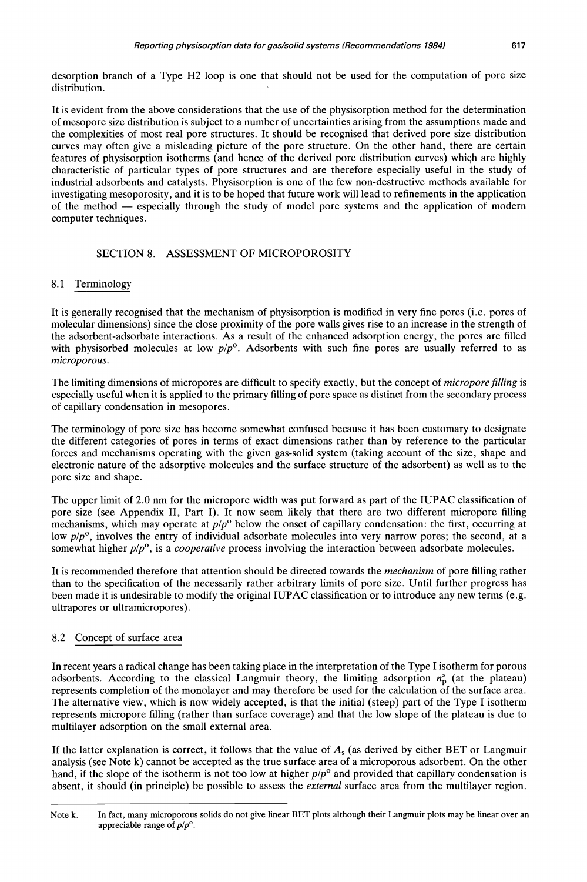desorption branch of a Type H2 loop is one that should not be used for the computation of pore size distribution.

It is evident from the above considerations that the use of the physisorption method for the determination of mesopore size distribution is subject to a number of uncertainties arising from the assumptions made and the complexities of most real pore structures. It should be recognised that derived pore size distribution curves may often give a misleading picture of the pore structure. On the other hand, there are certain features of physisorption isotherms (and hence of the derived pore distribution curves) which are highly characteristic of particular types of pore structures and are therefore especially useful in the study of industrial adsorbents and catalysts. Physisorption is one of the few non-destructive methods available for investigating mesoporosity, and it is to be hoped that future work will lead to refinements in the application of the method — especially through the study of model pore systems and the application of modern computer techniques.

## SECTION 8. ASSESSMENT OF MICROPOROSITY

## 8.1 Terminology

It is generally recognised that the mechanism of physisorption is modified in very fine pores (i.e. pores of molecular dimensions) since the close proximity of the pore walls gives rise to an increase in the strength of the adsorbent-adsorbate interactions. As a result of the enhanced adsorption energy, the pores are filled with physisorbed molecules at low  $p/p^{\circ}$ . Adsorbents with such fine pores are usually referred to as microporous.

The limiting dimensions of micropores are difficult to specify exactly, but the concept of *micropore filling* is especially useful when it is applied to the primary filling of pore space as distinct from the secondary process of capillary condensation in mesopores.

The terminology of pore size has become somewhat confused because it has been customary to designate the different categories of pores in terms of exact dimensions rather than by reference to the particular forces and mechanisms operating with the given gas-solid system (taking account of the size, shape and electronic nature of the adsorptive molecules and the surface structure of the adsorbent) as well as to the pore size and shape.

The upper limit of 2.0 nm for the micropore width was put forward as part of the IUPAC classification of pore size (see Appendix II, Part I). It now seem likely that there are two different micropore filling mechanisms, which may operate at  $p/p^{\circ}$  below the onset of capillary condensation: the first, occurring at low  $p/p^{\circ}$ , involves the entry of individual adsorbate molecules into very narrow pores; the second, at a somewhat higher  $p/p^{\circ}$ , is a *cooperative* process involving the interaction between adsorbate molecules.

It is recommended therefore that attention should be directed towards the mechanism of pore filling rather than to the specification of the necessarily rather arbitrary limits of pore size. Until further progress has been made it is undesirable to modify the original IUPAC classification or to introduce any new terms (e.g. ultrapores or ultramicropores).

## 8.2 Concept of surface area

In recent years a radical change has been taking place in the interpretation of the Type I isotherm for porous adsorbents. According to the classical Langmuir theory, the limiting adsorption  $n_{\rm p}^{\rm a}$  (at the plateau) represents completion of the monolayer and may therefore be used for the calculation of the surface area. The alternative view, which is now widely accepted, is that the initial (steep) part of the Type I isotherm represents micropore filling (rather than surface coverage) and that the low slope of the plateau is due to multilayer adsorption on the small external area.

If the latter explanation is correct, it follows that the value of  $A<sub>s</sub>$  (as derived by either BET or Langmuir analysis (see Note k) cannot be accepted as the true surface area of a microporous adsorbent. On the other hand, if the slope of the isotherm is not too low at higher  $p/p<sup>o</sup>$  and provided that capillary condensation is absent, it should (in principle) be possible to assess the *external* surface area from the multilayer region.

Note k. In fact, many microporous solids do not give linear BET plots although their Langmuir plots may be linear over an appreciable range of  $p/p^{\circ}$ .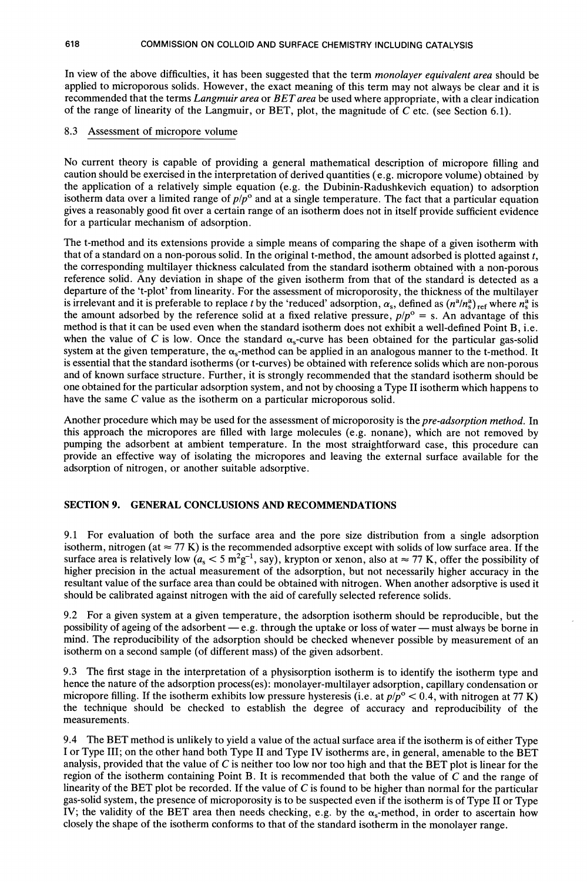In view of the above difficulties, it has been suggested that the term monolayer equivalent area should be applied to microporous solids. However, the exact meaning of this term may not always be clear and it is recommended that the terms Langmuir area or BET area be used where appropriate, with a clear indication of the range of linearity of the Langmuir, or BET, plot, the magnitude of  $C$  etc. (see Section 6.1).

#### 8.3 Assessment of micropore volume

No current theory is capable of providing a general mathematical description of micropore filling and caution should be exercised in the interpretation of derived quantities (e.g. micropore volume) obtained by the application of a relatively simple equation (e.g. the Dubinin-Radushkevich equation) to adsorption isotherm data over a limited range of  $p/p^{\circ}$  and at a single temperature. The fact that a particular equation gives a reasonably good fit over a certain range of an isotherm does not in itself provide sufficient evidence for a particular mechanism of adsorption.

The t-method and its extensions provide a simple means of comparing the shape of a given isotherm with that of a standard on a non-porous solid. In the original t-method, the amount adsorbed is plotted against  $t$ , the corresponding multilayer thickness calculated from the standard isotherm obtained with a non-porous reference solid. Any deviation in shape of the given isotherm from that of the standard is detected as a departure of the 't-plot' from linearity. For the assessment of microporosity, the thickness of the multilayer is irrelevant and it is preferable to replace t by the 'reduced' adsorption,  $\alpha_s$ , defined as  $(n^a/n_s^a)_{ref}$  where  $n_s^a$  is the amount adsorbed by the reference solid at a fixed relative pressure,  $p/p^{\circ} = s$ . An advantage of this method is that it can be used even when the standard isotherm does not exhibit a well-defined Point B, i.e. when the value of C is low. Once the standard  $\alpha_s$ -curve has been obtained for the particular gas-solid system at the given temperature, the  $\alpha_s$ -method can be applied in an analogous manner to the t-method. It is essential that the standard isotherms (or t-curves) be obtained with reference solids which are non-porous and of known surface structure. Further, it is strongly recommended that the standard isotherm should be one obtained for the particular adsorption system, and not by choosing a Type II isotherm which happens to have the same C value as the isotherm on a particular microporous solid.

Another procedure which may be used for the assessment of microporosity is the pre-adsorption method. In this approach the micropores are filled with large molecules (e.g. nonane), which are not removed by pumping the adsorbent at ambient temperature. In the most straightforward case, this procedure can provide an effective way of isolating the micropores and leaving the external surface available for the adsorption of nitrogen, or another suitable adsorptive.

#### SECTION 9. GENERAL CONCLUSIONS AND RECOMMENDATIONS

9.1 For evaluation of both the surface area and the pore size distribution from a single adsorption isotherm, nitrogen (at  $\approx$  77 K) is the recommended adsorptive except with solids of low surface area. If the surface area is relatively low ( $a_s < 5 \text{ m}^2 \text{g}^{-1}$ , say), krypton or xenon, also at  $\approx 77 \text{ K}$ , offer the possibility of higher precision in the actual measurement of the adsorption, but not necessarily higher accuracy in the resultant value of the surface area than could be obtained with nitrogen. When another adsorptive is used it should be calibrated against nitrogen with the aid of carefully selected reference solids.

9.2 For a given system at a given temperature, the adsorption isotherm should be reproducible, but the possibility of ageing of the adsorbent —e.g. through the uptake or loss of water —must always be borne in mind. The reproducibility of the adsorption should be checked whenever possible by measurement of an isotherm on a second sample (of different mass) of the given adsorbent.

9.3 The first stage in the interpretation of a physisorption isotherm is to identify the isotherm type and hence the nature of the adsorption process(es): monolayer-multilayer adsorption, capillary condensation or micropore filling. If the isotherm exhibits low pressure hysteresis (i.e. at  $p/p^{\circ} < 0.4$ , with nitrogen at 77 K) the technique should be checked to establish the degree of accuracy and reproducibility of the measurements.

9.4 The BET method is unlikely to yield a value of the actual surface area if the isotherm is of either Type I or Type III; on the other hand both Type II and Type IV isotherms are, in general, amenable to the BET analysis, provided that the value of C is neither too low nor too high and that the BET plot is linear for the region of the isotherm containing Point B. It is recommended that both the value of C and the range of linearity of the BET plot be recorded. If the value of C is found to be higher than normal for the particular gas-solid system, the presence of microporosity is to be suspected even if the isotherm is of Type II or Type IV; the validity of the BET area then needs checking, e.g. by the  $\alpha_s$ -method, in order to ascertain how closely the shape of the isotherm conforms to that of the standard isotherm in the monolayer range.